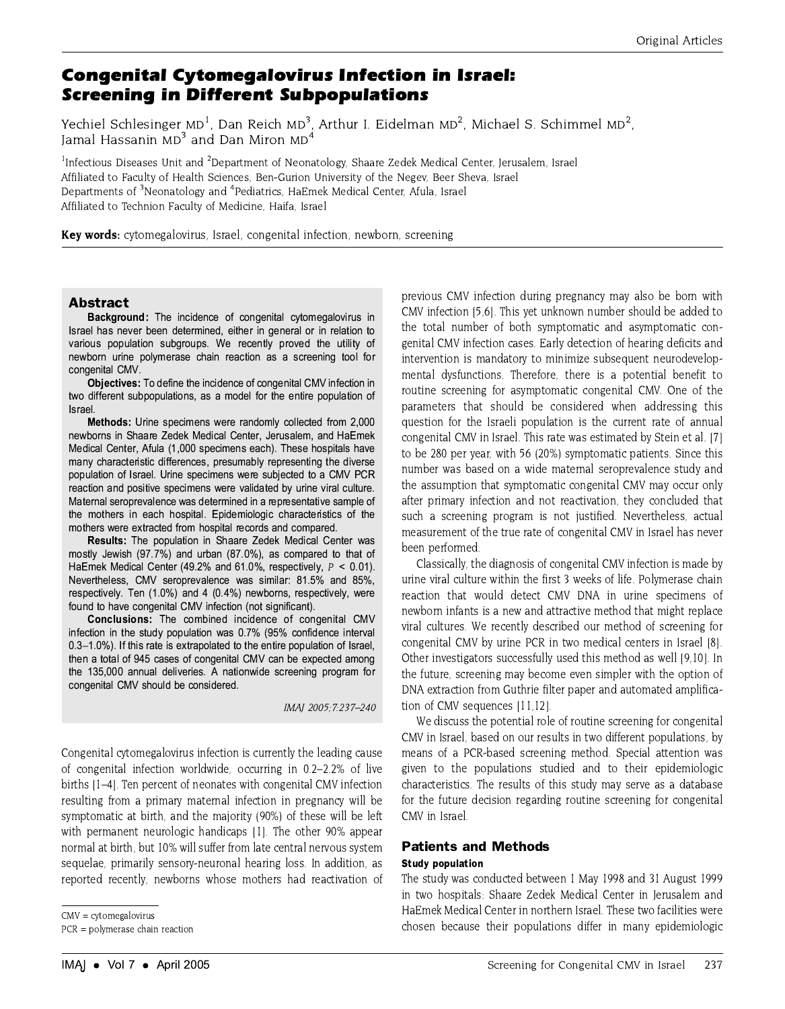# **Congenital Cytomegalovirus Infection in Israel: Screening in Different Subpopulations**

Yechiel Schlesinger  $MD<sup>1</sup>$ , Dan Reich MD<sup>3</sup>, Arthur I. Eidelman MD<sup>2</sup>, Michael S. Schimmel MD<sup>2</sup>, Jamal Hassanin MD<sup>3</sup> and Dan Miron MD<sup>4</sup>

<sup>1</sup>Infectious Diseases Unit and <sup>2</sup>Department of Neonatology, Shaare Zedek Medical Center, Jerusalem, Israel Affiliated to Faculty of Health Sciences, Ben-Gurion University of the Negev, Beer Sheva, Israel Departments of <sup>3</sup>Neonatology and <sup>4</sup>Pediatrics, HaEmek Medical Center, Afula, Israel Affiliated to Technion Faculty of Medicine, Haifa, Israel

Key words: cytomegalovirus, Israel, congenital infection, newborn, screening

#### **Abstract**

Background: The incidence of congenital cytomegalovirus in Israel has never been determined, either in general or in relation to various population subgroups. We recently proved the utility of newborn urine polymerase chain reaction as a screening tool for congenital CMV

Objectives: To define the incidence of congenital CMV infection in two different subpopulations, as a model for the entire population of Israel

Methods: Urine specimens were randomly collected from 2,000 newborns in Shaare Zedek Medical Center, Jerusalem, and HaEmek Medical Center, Afula (1,000 specimens each). These hospitals have many characteristic differences, presumably representing the diverse population of Israel. Urine specimens were subjected to a CMV PCR reaction and positive specimens were validated by urine viral culture. Maternal seroprevalence was determined in a representative sample of the mothers in each hospital. Epidemiologic characteristics of the mothers were extracted from hospital records and compared.

Results: The population in Shaare Zedek Medical Center was mostly Jewish (97.7%) and urban (87.0%), as compared to that of HaEmek Medical Center (49.2% and 61.0%, respectively,  $P < 0.01$ ). Nevertheless, CMV seroprevalence was similar: 81.5% and 85%, respectively. Ten (1.0%) and 4 (0.4%) newborns, respectively, were found to have congenital CMV infection (not significant).

Conclusions: The combined incidence of congenital CMV infection in the study population was 0.7% (95% confidence interval 0.3-1.0%). If this rate is extrapolated to the entire population of Israel. then a total of 945 cases of congenital CMV can be expected among the 135,000 annual deliveries. A nationwide screening program for congenital CMV should be considered.

IMAJ 2005; 7:237-240

Congenital cytomegalovirus infection is currently the leading cause of congenital infection worldwide, occurring in 0.2-2.2% of live births [1-4]. Ten percent of neonates with congenital CMV infection resulting from a primary maternal infection in pregnancy will be symptomatic at birth, and the majority (90%) of these will be left with permanent neurologic handicaps [1]. The other 90% appear normal at birth, but 10% will suffer from late central nervous system sequelae, primarily sensory-neuronal hearing loss. In addition, as reported recently, newborns whose mothers had reactivation of

 $CMV = cytomegalovirus$ 

 $PCR = polymerase chain reaction$ 

previous CMV infection during pregnancy may also be born with CMV infection [5,6]. This yet unknown number should be added to the total number of both symptomatic and asymptomatic congenital CMV infection cases. Early detection of hearing deficits and intervention is mandatory to minimize subsequent neurodevelopmental dysfunctions. Therefore, there is a potential benefit to routine screening for asymptomatic congenital CMV. One of the parameters that should be considered when addressing this question for the Israeli population is the current rate of annual congenital CMV in Israel. This rate was estimated by Stein et al. [7] to be 280 per year, with 56 (20%) symptomatic patients. Since this number was based on a wide maternal seroprevalence study and the assumption that symptomatic congenital CMV may occur only after primary infection and not reactivation, they concluded that such a screening program is not justified. Nevertheless, actual measurement of the true rate of congenital CMV in Israel has never been performed.

Classically, the diagnosis of congenital CMV infection is made by urine viral culture within the first 3 weeks of life. Polymerase chain reaction that would detect CMV DNA in urine specimens of newborn infants is a new and attractive method that might replace viral cultures. We recently described our method of screening for congenital CMV by urine PCR in two medical centers in Israel [8]. Other investigators successfully used this method as well [9,10]. In the future, screening may become even simpler with the option of DNA extraction from Guthrie filter paper and automated amplification of CMV sequences [11,12].

We discuss the potential role of routine screening for congenital CMV in Israel, based on our results in two different populations, by means of a PCR-based screening method. Special attention was given to the populations studied and to their epidemiologic characteristics. The results of this study may serve as a database for the future decision regarding routine screening for congenital CMV in Israel.

## **Patients and Methods**

### **Study population**

The study was conducted between 1 May 1998 and 31 August 1999 in two hospitals: Shaare Zedek Medical Center in Jerusalem and HaEmek Medical Center in northern Israel. These two facilities were chosen because their populations differ in many epidemiologic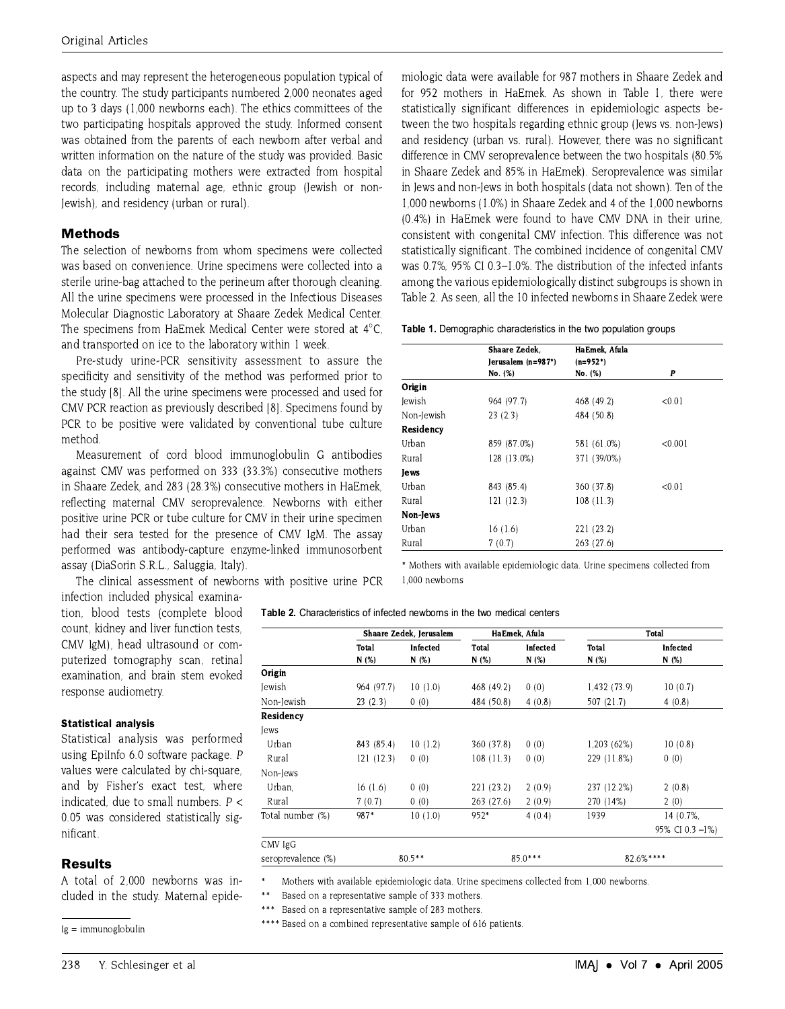aspects and may represent the heterogeneous population typical of the country. The study participants numbered 2,000 neonates aged up to 3 days (1,000 newborns each). The ethics committees of the two participating hospitals approved the study. Informed consent was obtained from the parents of each newborn after verbal and written information on the nature of the study was provided. Basic data on the participating mothers were extracted from hospital records, including maternal age, ethnic group (Jewish or non-Jewish), and residency (urban or rural).

## **Methods**

The selection of newborns from whom specimens were collected was based on convenience. Urine specimens were collected into a sterile urine-bag attached to the perineum after thorough cleaning. All the urine specimens were processed in the Infectious Diseases Molecular Diagnostic Laboratory at Shaare Zedek Medical Center. The specimens from HaEmek Medical Center were stored at 4°C. and transported on ice to the laboratory within 1 week.

Pre-study urine-PCR sensitivity assessment to assure the specificity and sensitivity of the method was performed prior to the study [8]. All the urine specimens were processed and used for CMV PCR reaction as previously described [8]. Specimens found by PCR to be positive were validated by conventional tube culture method

Measurement of cord blood immunoglobulin G antibodies against CMV was performed on 333 (33.3%) consecutive mothers in Shaare Zedek, and 283 (28.3%) consecutive mothers in HaEmek, reflecting maternal CMV seroprevalence. Newborns with either positive urine PCR or tube culture for CMV in their urine specimen had their sera tested for the presence of CMV IgM. The assay performed was antibody-capture enzyme-linked immunosorbent assay (DiaSorin S.R.L., Saluggia, Italy).

The clinical assessment of newborns with positive urine PCR

infection included physical examination, blood tests (complete blood count, kidney and liver function tests. CMV IgM), head ultrasound or computerized tomography scan, retinal examination, and brain stem evoked response audiometry.

#### **Statistical analysis**

Statistical analysis was performed using EpiInfo 6.0 software package. P values were calculated by chi-square, and by Fisher's exact test, where indicated, due to small numbers.  $P <$ 0.05 was considered statistically significant.

## **Results**

A total of 2,000 newborns was included in the study. Maternal epide-

Ig = immunoglobulin

miologic data were available for 987 mothers in Shaare Zedek and for 952 mothers in HaEmek. As shown in Table 1, there were statistically significant differences in epidemiologic aspects between the two hospitals regarding ethnic group (Jews vs. non-Jews) and residency (urban vs. rural). However, there was no significant difference in CMV seroprevalence between the two hospitals (80.5% in Shaare Zedek and 85% in HaEmek). Seroprevalence was similar in Jews and non-Jews in both hospitals (data not shown). Ten of the 1,000 newborns (1.0%) in Shaare Zedek and 4 of the 1,000 newborns (0.4%) in HaEmek were found to have CMV DNA in their urine. consistent with congenital CMV infection. This difference was not statistically significant. The combined incidence of congenital CMV was 0.7%, 95% CI 0.3-1.0%. The distribution of the infected infants among the various epidemiologically distinct subgroups is shown in Table 2. As seen, all the 10 infected newborns in Shaare Zedek were

#### Table 1. Demographic characteristics in the two population groups

|            | Shaare Zedek.      | HaEmek, Afula |         |
|------------|--------------------|---------------|---------|
|            | Jerusalem (n=987*) | $(n=952*)$    |         |
|            | No. (%)            | No. (%)       | P       |
| Origin     |                    |               |         |
| lewish     | 964 (97.7)         | 468 (49.2)    | < 0.01  |
| Non-Jewish | 23(2.3)            | 484 (50.8)    |         |
| Residency  |                    |               |         |
| Urban      | 859 (87.0%)        | 581 (61.0%)   | < 0.001 |
| Rural      | 128 (13.0%)        | 371 (39/0%)   |         |
| lews       |                    |               |         |
| Urban      | 843 (85.4)         | 360 (37.8)    | < 0.01  |
| Rural      | 121(12.3)          | 108(11.3)     |         |
| Non-Jews   |                    |               |         |
| Urban      | 16(1.6)            | 221 (23.2)    |         |
| Rural      | 7(0.7)             | 263 (27.6)    |         |

\* Mothers with available epidemiologic data. Urine specimens collected from 1.000 newborns

|  | <b>Table 2.</b> Characteristics of infected newborns in the two medical centers |
|--|---------------------------------------------------------------------------------|
|--|---------------------------------------------------------------------------------|

|                    | Shaare Zedek, Jerusalem |          |            | HaEmek, Afula | Total        |                 |  |
|--------------------|-------------------------|----------|------------|---------------|--------------|-----------------|--|
|                    | Total                   | Infected | Total      | Infected      | Total        | Infected        |  |
|                    | N(%)                    | N(%)     | N(%)       | N(%)          | N (%)        | N(%)            |  |
| Origin             |                         |          |            |               |              |                 |  |
| Jewish             | 964 (97.7)              | 10(1.0)  | 468 (49.2) | 0(0)          | 1,432 (73.9) | 10(0.7)         |  |
| Non-Jewish         | 23(2.3)                 | 0(0)     | 484 (50.8) | 4(0.8)        | 507 (21.7)   | 4(0.8)          |  |
| Residency          |                         |          |            |               |              |                 |  |
| lews               |                         |          |            |               |              |                 |  |
| Urban              | 843 (85.4)              | 10(1.2)  | 360 (37.8) | 0(0)          | 1,203 (62%)  | 10(0.8)         |  |
| Rural              | 121 (12.3)              | 0(0)     | 108(11.3)  | 0(0)          | 229 (11.8%)  | 0(0)            |  |
| Non-Jews           |                         |          |            |               |              |                 |  |
| Urban.             | 16(1.6)                 | 0(0)     | 221 (23.2) | 2(0.9)        | 237 (12.2%)  | 2(0.8)          |  |
| Rural              | 7(0.7)                  | 0(0)     | 263 (27.6) | 2(0.9)        | 270 (14%)    | 2(0)            |  |
| Total number (%)   | 987*                    | 10(1.0)  | 952*       | 4(0.4)        | 1939         | 14 (0.7%)       |  |
|                    |                         |          |            |               |              | 95% CI 0.3 -1%) |  |
| CMV IgG            |                         |          |            |               |              |                 |  |
| seroprevalence (%) | $80.5**$                |          |            | $85.0***$     | 82.6%****    |                 |  |

Mothers with available epidemiologic data. Urine specimens collected from 1,000 newborns.

Based on a representative sample of 333 mothers.

Based on a representative sample of 283 mothers

\*\*\*\* Based on a combined representative sample of 616 patients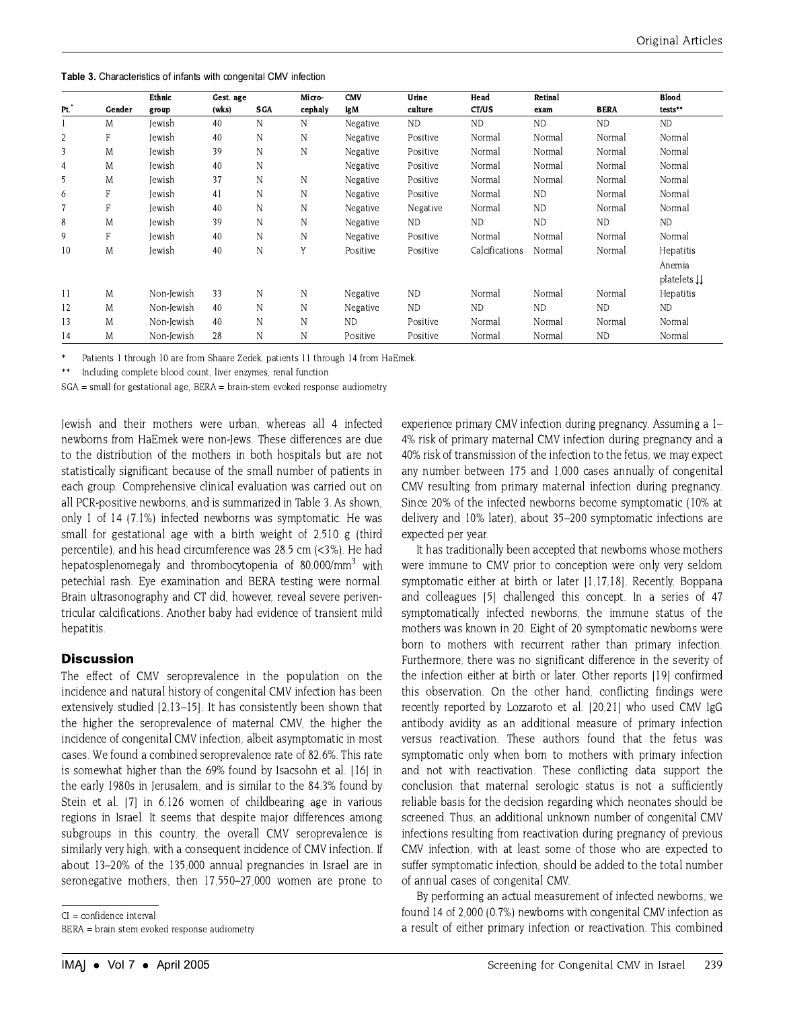Table 3. Characteristics of infants with congenital CMV infection

|                |        | Ethnic        | Gest. age |             | Micro-       | <b>CMV</b> | Urine     | Head           | Retinal   |             | Blood            |
|----------------|--------|---------------|-----------|-------------|--------------|------------|-----------|----------------|-----------|-------------|------------------|
| Pt.            | Gender | group         | (wks)     | <b>SGA</b>  | cephaly      | IgM        | culture   | CT/US          | exam      | <b>BERA</b> | tests**          |
|                | M      | <b>Iewish</b> | 40        | N           | N            | Negative   | ND.       | <b>ND</b>      | <b>ND</b> | <b>ND</b>   | ND               |
| $\overline{2}$ | F      | <b>lewish</b> | 40        | N           | N            | Negative   | Positive  | Normal         | Normal    | Normal      | Normal           |
| 3              | М      | lewish        | 39        | N           | $\mathbb N$  | Negative   | Positive  | Normal         | Normal    | Normal      | Normal           |
| $\overline{4}$ | М      | Jewish        | 40        | N           |              | Negative   | Positive  | Normal         | Normal    | Normal      | Normal           |
| 5              | M      | lewish        | 37        | N           | N            | Negative   | Positive  | Normal         | Normal    | Normal      | Normal           |
| 6              | F      | lewish        | 41        | N           | N            | Negative   | Positive  | Normal         | <b>ND</b> | Normal      | Normal           |
| $\overline{7}$ | F      | lewish        | 40        | N           | N            | Negative   | Negative  | Normal         | <b>ND</b> | Normal      | Normal           |
| 8              | M      | Jewish        | 39        | N           | $\mathbb N$  | Negative   | <b>ND</b> | <b>ND</b>      | <b>ND</b> | <b>ND</b>   | <b>ND</b>        |
| 9              | F      | lewish        | 40        | N           | $\mathsf{N}$ | Negative   | Positive  | Normal         | Normal    | Normal      | Normal           |
| 10             | М      | lewish        | 40        | N           | $\mathbf{V}$ | Positive   | Positive  | Calcifications | Normal    | Normal      | Hepatitis        |
|                |        |               |           |             |              |            |           |                |           |             | Anemia           |
|                |        |               |           |             |              |            |           |                |           |             | platelets LL     |
| 11             | M      | Non-Jewish    | 33        | N           | $\mathbb N$  | Negative   | <b>ND</b> | Normal         | Normal    | Normal      | <b>Hepatitis</b> |
| 12             | M      | Non-Jewish    | 40        | N           | N            | Negative   | ND        | <b>ND</b>      | <b>ND</b> | <b>ND</b>   | ND               |
| 13             | M      | Non-Jewish    | 40        | $\mathbb N$ | N            | <b>ND</b>  | Positive  | Normal         | Normal    | Normal      | Normal           |
| 14             | M      | Non-Jewish    | 28        | N           | N            | Positive   | Positive  | Normal         | Normal    | <b>ND</b>   | Normal           |

Patients 1 through 10 are from Shaare Zedek, patients 11 through 14 from HaEmek.

 $**$ Including complete blood count, liver enzymes, renal function

 $SGA$  = small for gestational age, BERA = brain-stem evoked response audiometry

Jewish and their mothers were urban, whereas all 4 infected newborns from HaEmek were non-Jews. These differences are due to the distribution of the mothers in both hospitals but are not statistically significant because of the small number of patients in each group. Comprehensive clinical evaluation was carried out on all PCR-positive newborns, and is summarized in Table 3. As shown, only 1 of 14 (7.1%) infected newborns was symptomatic. He was small for gestational age with a birth weight of 2,510 g (third percentile), and his head circumference was 28.5 cm (<3%). He had hepatosplenomegaly and thrombocytopenia of  $80,000/\text{mm}^3$  with petechial rash. Eve examination and BERA testing were normal. Brain ultrasonography and CT did, however, reveal severe periventricular calcifications. Another baby had evidence of transient mild hepatitis.

## **Discussion**

The effect of CMV seroprevalence in the population on the incidence and natural history of congenital CMV infection has been extensively studied [2,13-15]. It has consistently been shown that the higher the seroprevalence of maternal CMV, the higher the incidence of congenital CMV infection, albeit asymptomatic in most cases. We found a combined seroprevalence rate of 82.6%. This rate is somewhat higher than the 69% found by Isacsohn et al. [16] in the early 1980s in Jerusalem, and is similar to the 84.3% found by Stein et al. [7] in 6,126 women of childbearing age in various regions in Israel. It seems that despite major differences among subgroups in this country, the overall CMV seroprevalence is similarly very high, with a consequent incidence of CMV infection. If about 13-20% of the 135,000 annual pregnancies in Israel are in seronegative mothers, then 17,550-27,000 women are prone to

 $CI = confidence interval$ 

BERA = brain stem evoked response audiometry

experience primary CMV infection during pregnancy. Assuming a 1-4% risk of primary maternal CMV infection during pregnancy and a 40% risk of transmission of the infection to the fetus, we may expect any number between 175 and 1,000 cases annually of congenital CMV resulting from primary maternal infection during pregnancy. Since 20% of the infected newborns become symptomatic (10% at delivery and 10% later), about 35-200 symptomatic infections are expected per year.

It has traditionally been accepted that newborns whose mothers were immune to CMV prior to conception were only very seldom symptomatic either at birth or later [1.17.18]. Recently, Boppana and colleagues [5] challenged this concept. In a series of 47 symptomatically infected newborns, the immune status of the mothers was known in 20. Eight of 20 symptomatic newborns were born to mothers with recurrent rather than primary infection. Furthermore, there was no significant difference in the severity of the infection either at birth or later. Other reports [19] confirmed this observation. On the other hand, conflicting findings were recently reported by Lozzaroto et al. [20,21] who used CMV IgG antibody avidity as an additional measure of primary infection versus reactivation. These authors found that the fetus was symptomatic only when born to mothers with primary infection and not with reactivation. These conflicting data support the conclusion that maternal serologic status is not a sufficiently reliable basis for the decision regarding which neonates should be screened. Thus, an additional unknown number of congenital CMV infections resulting from reactivation during pregnancy of previous CMV infection, with at least some of those who are expected to suffer symptomatic infection, should be added to the total number of annual cases of congenital CMV.

By performing an actual measurement of infected newborns, we found 14 of 2,000 (0.7%) newborns with congenital CMV infection as a result of either primary infection or reactivation. This combined